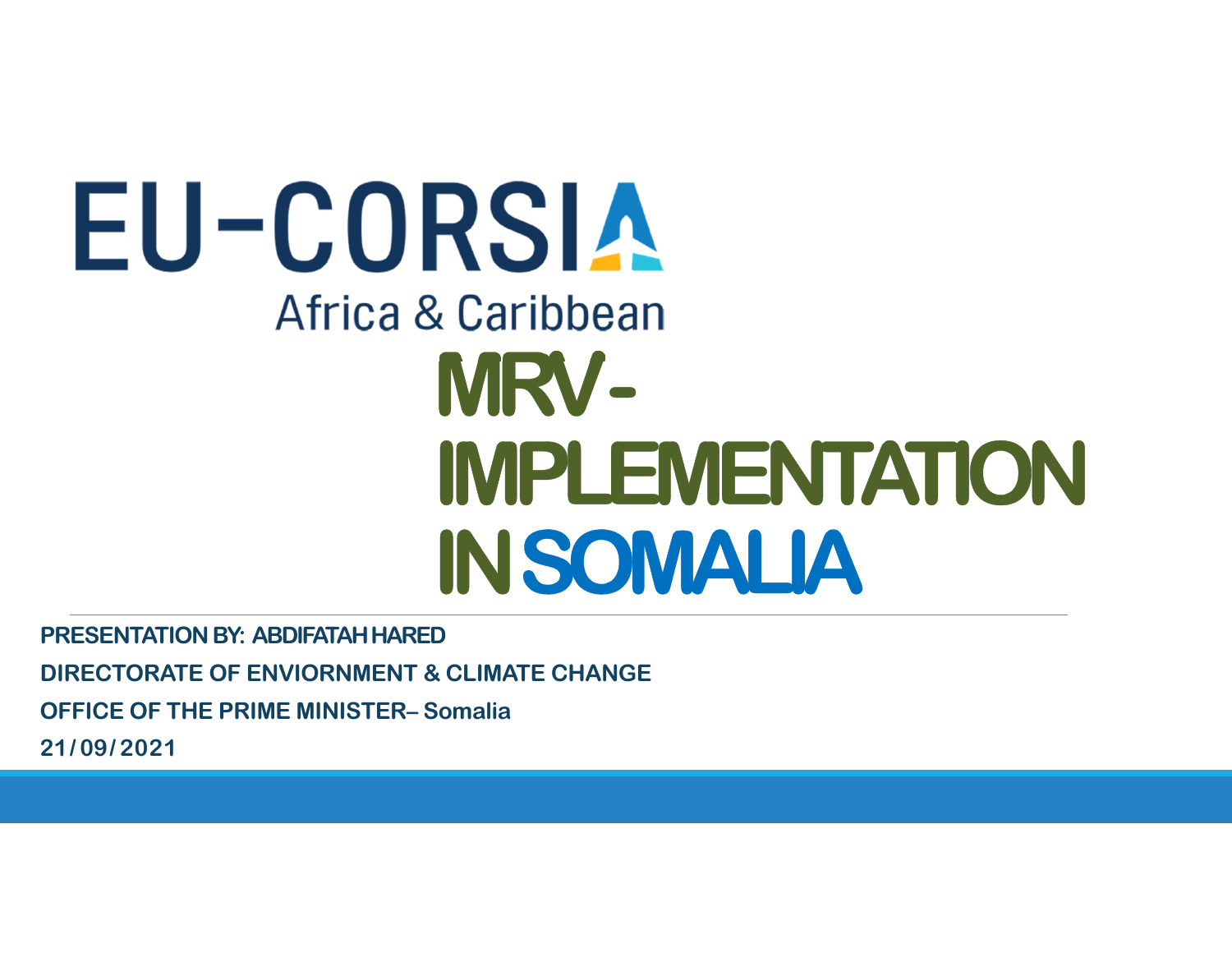# EU-CORSIA Africa & Caribbean **MRV - IMPLEMENTATION IN SOMALIA**

**PRESENTATION BY: ABDIFATAH HARED DIRECTORATE OF ENVIORNMENT & CLIMATE CHANGEOFFICE OF THE PRIME MINISTER– Somalia21/ 09/ <sup>2021</sup>**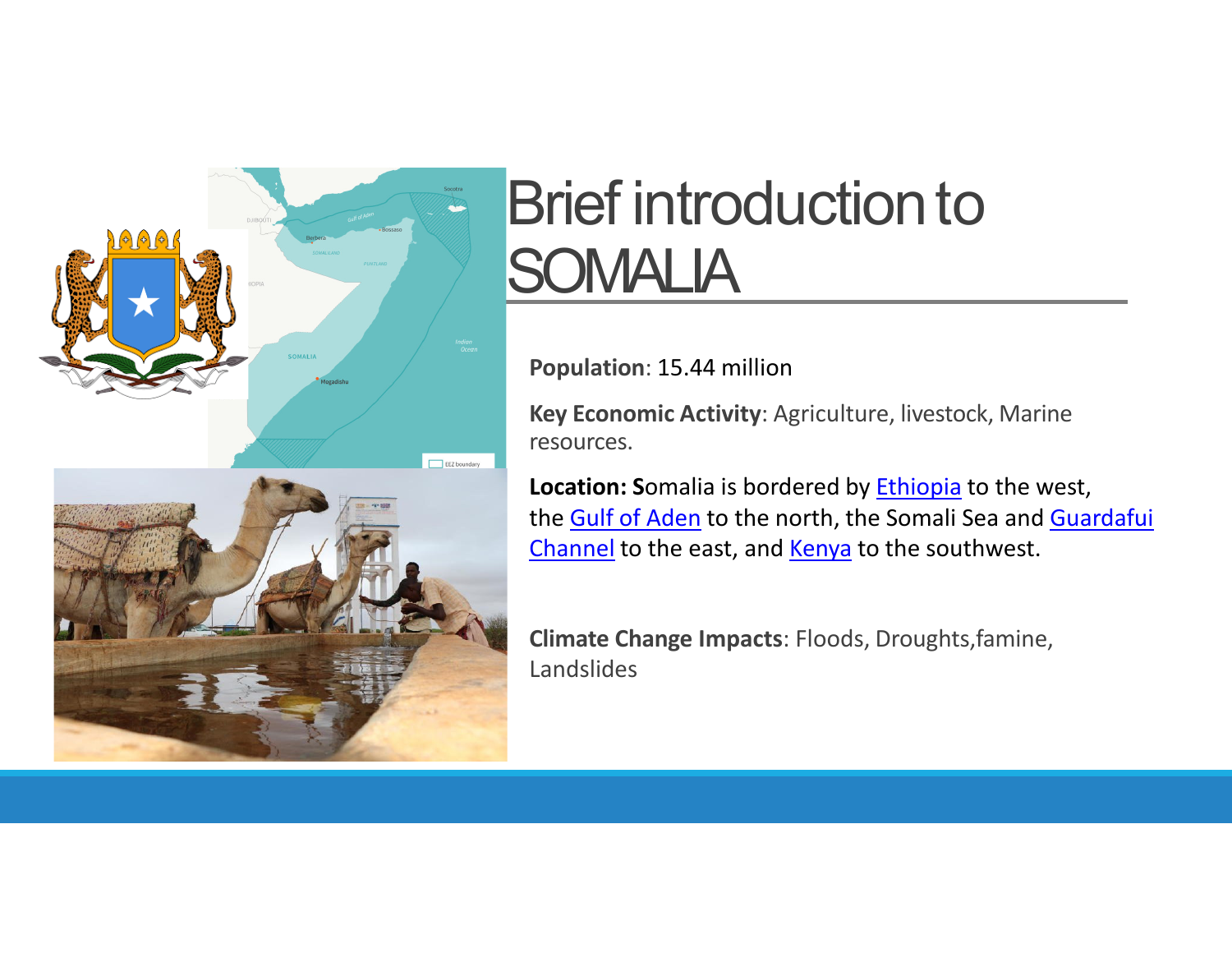

## **Brief introduction to SOMALIA**

**Population**: 15.44 million

**Key Economic Activity**: Agriculture, livestock, Marine resources.

**Location: S**omalia is bordered by Ethiopia to the west, the <u>Gulf of Aden</u> to the north, the Somali Sea and <u>Guardafui</u> <u>Channel</u> to the east, and <u>Kenya</u> to the southwest.

**Climate Change Impacts**: Floods, Droughts,famine,Landslides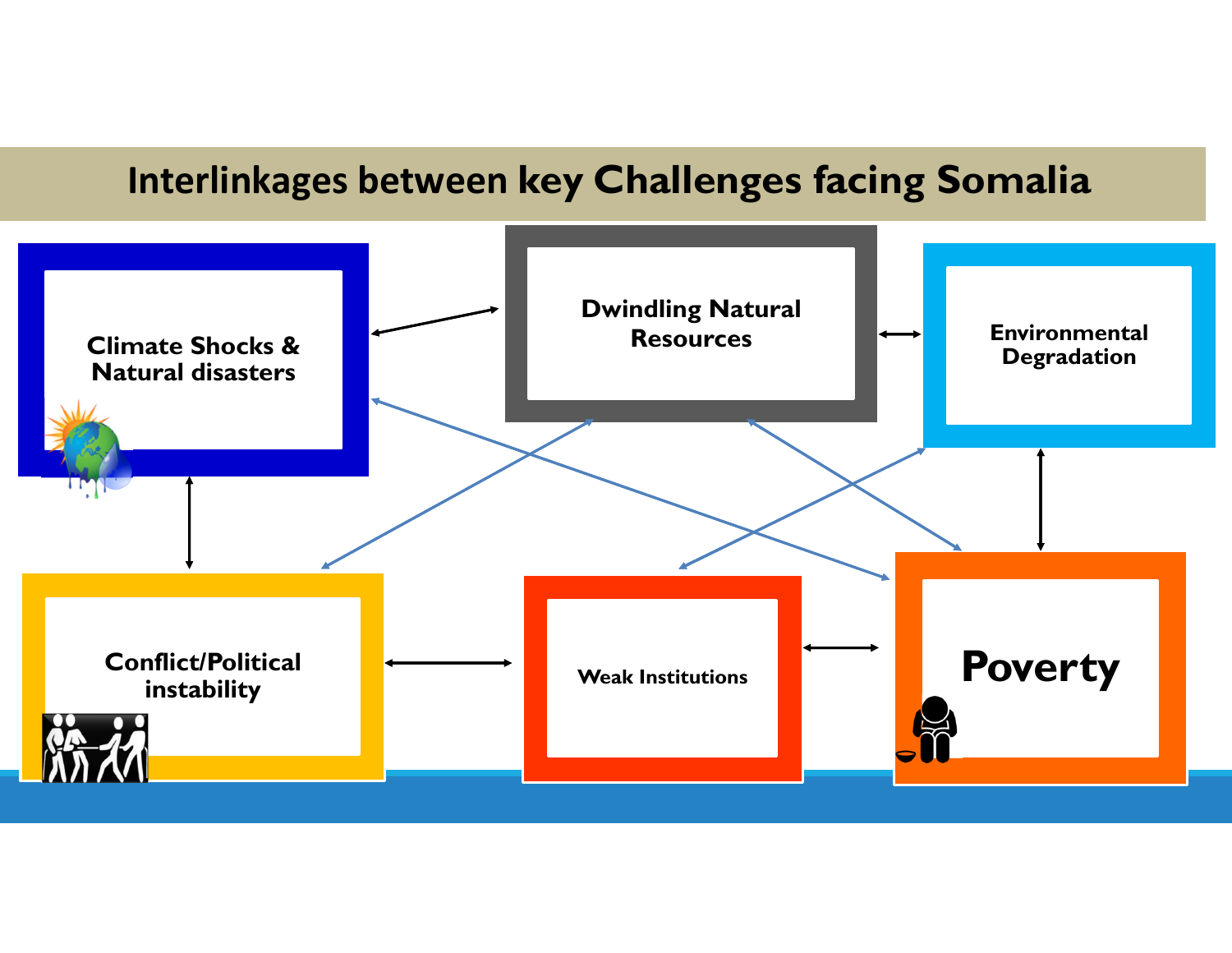### **Interlinkages between key Challenges facing Somalia**

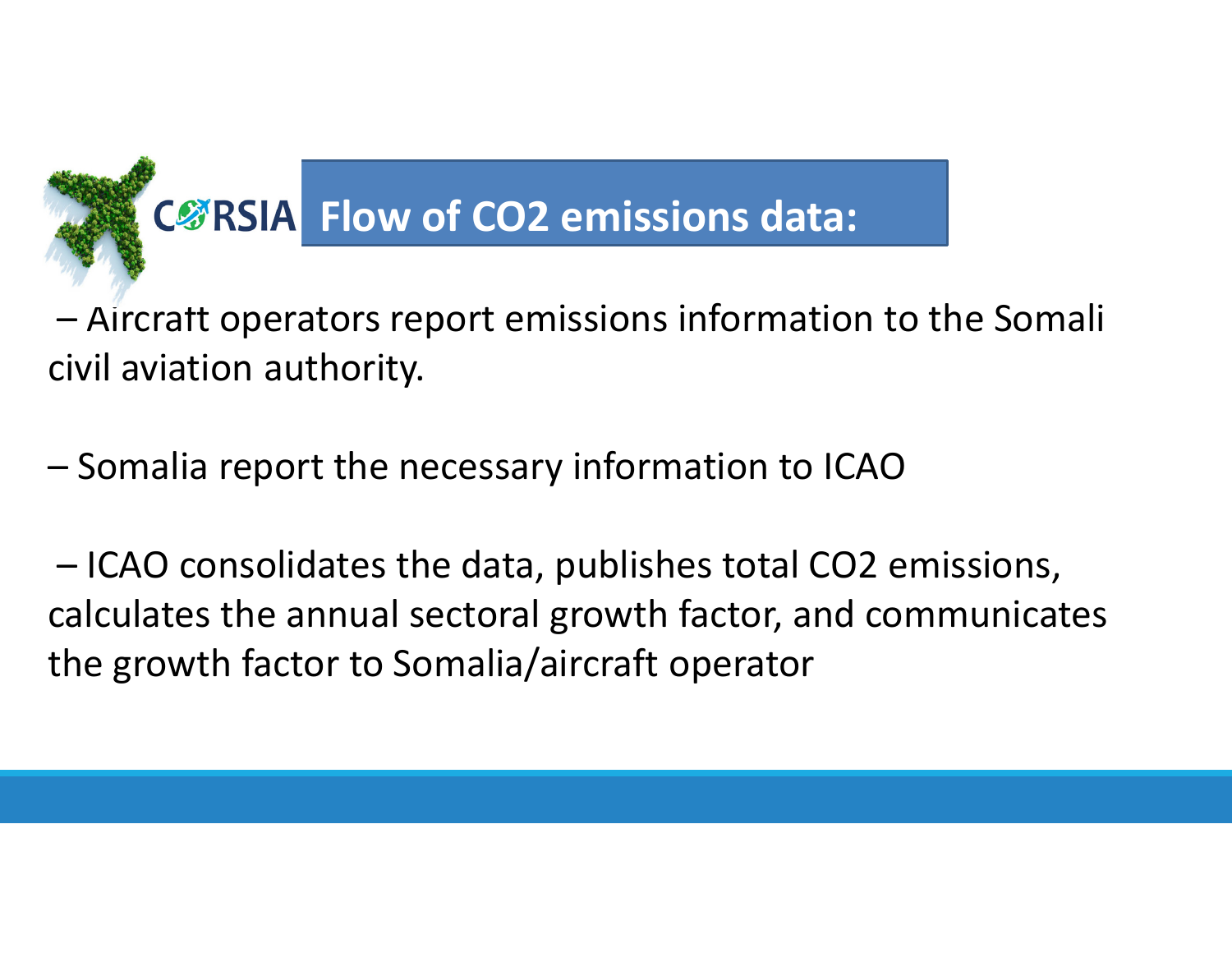

– Aircraft operators report emissions information to the Somali civil aviation authority.

–Somalia report the necessary information to ICAO

– ICAO consolidates the data, publishes total CO2 emissions, calculates the annual sectoral growth factor, and communicates the growth factor to Somalia/aircraft operator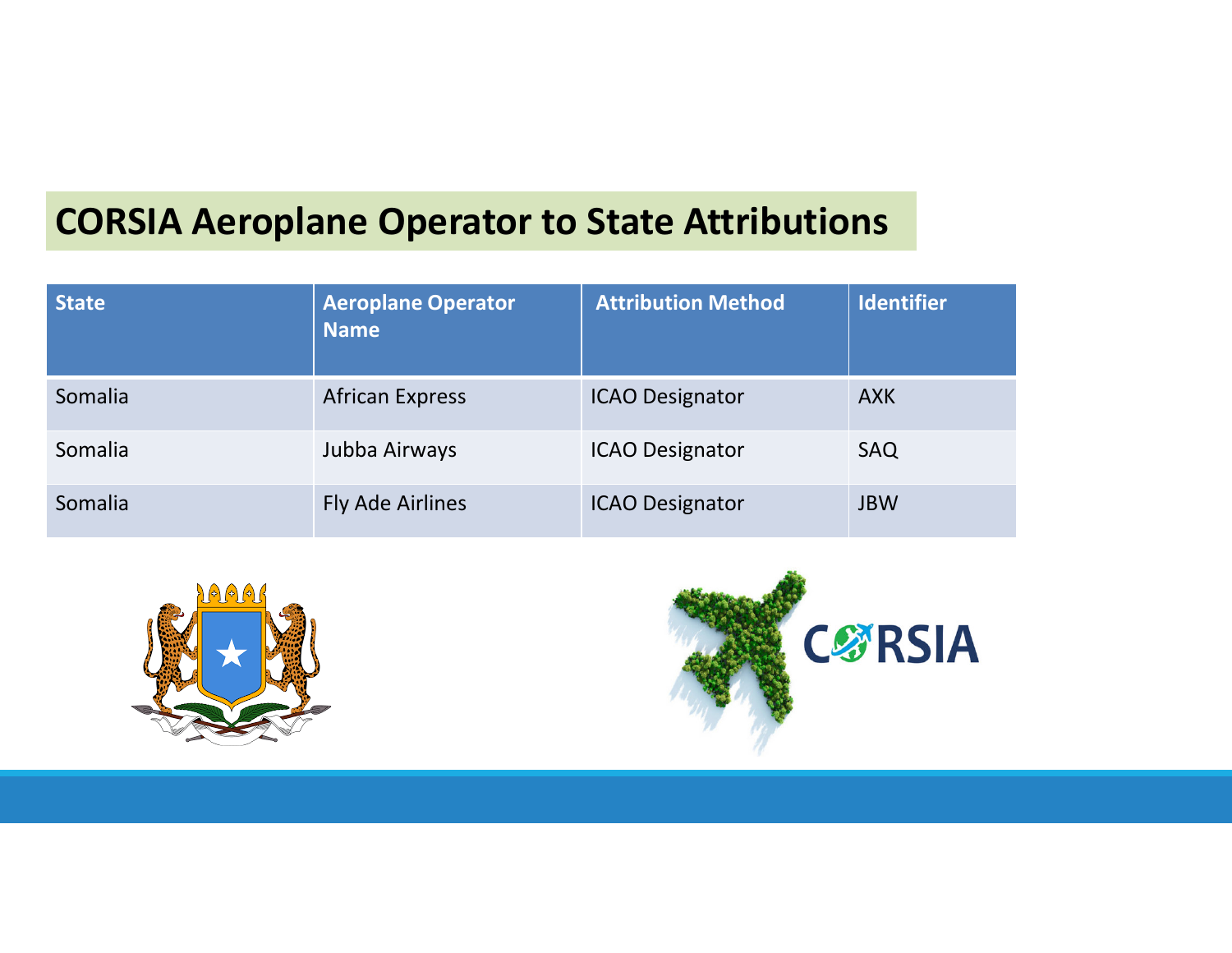### **CORSIA Aeroplane Operator to State Attributions**

| <b>State</b> | <b>Aeroplane Operator</b><br>Name | <b>Attribution Method</b> | <b>Identifier</b> |
|--------------|-----------------------------------|---------------------------|-------------------|
| Somalia      | <b>African Express</b>            | <b>ICAO Designator</b>    | <b>AXK</b>        |
| Somalia      | Jubba Airways                     | <b>ICAO Designator</b>    | SAQ               |
| Somalia      | Fly Ade Airlines                  | <b>ICAO Designator</b>    | <b>JBW</b>        |



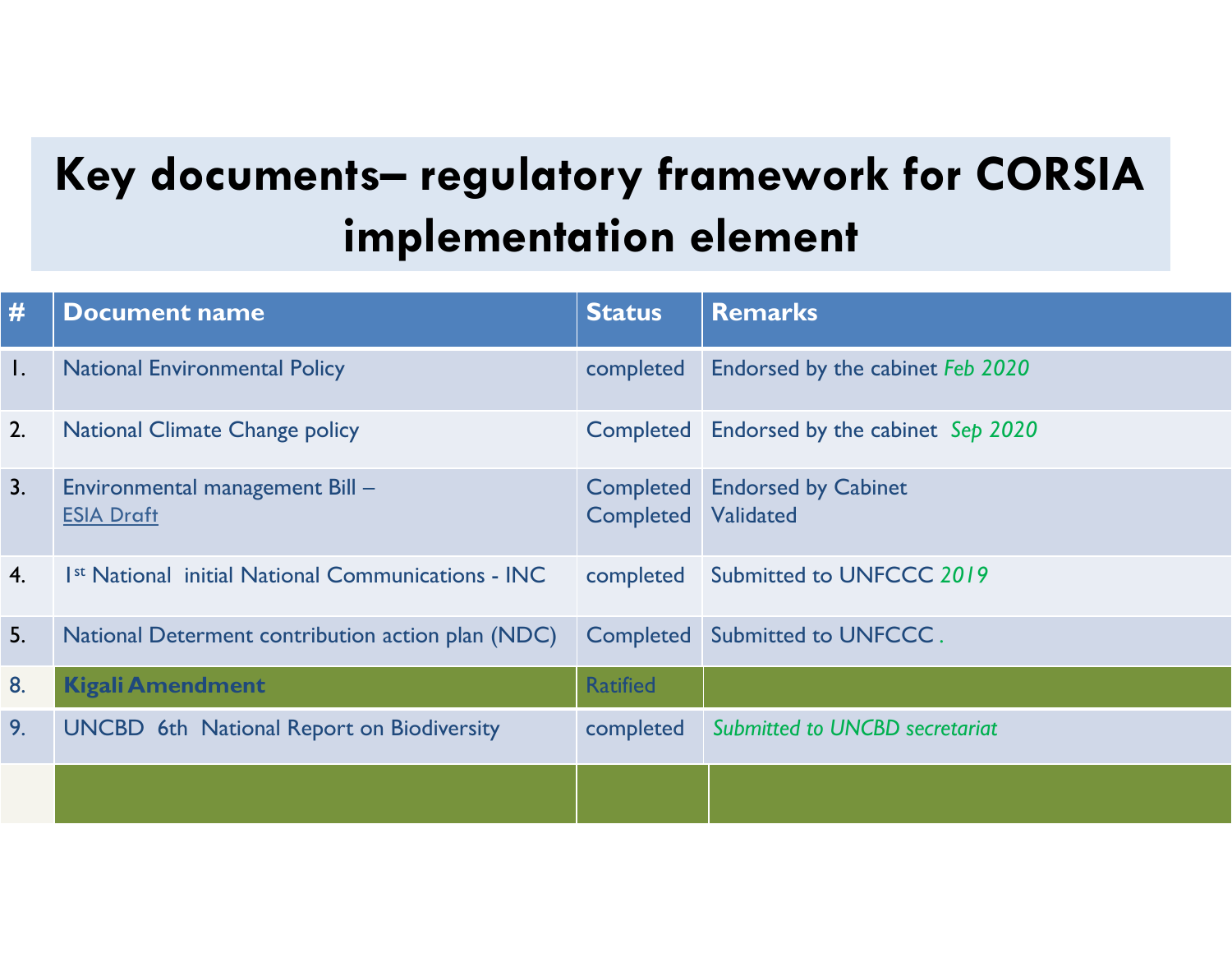### **Key documents– regulatory framework for CORSIA implementation element**

| #              | <b>Document name</b>                                           | <b>Status</b>                 | <b>Remarks</b>                             |
|----------------|----------------------------------------------------------------|-------------------------------|--------------------------------------------|
| $\mathsf{l}$ . | <b>National Environmental Policy</b>                           | completed                     | Endorsed by the cabinet Feb 2020           |
| 2.             | <b>National Climate Change policy</b>                          |                               | Completed Endorsed by the cabinet Sep 2020 |
| 3.             | Environmental management Bill -<br><b>ESIA Draft</b>           | <b>Completed</b><br>Completed | <b>Endorsed by Cabinet</b><br>Validated    |
| 4.             | 1 <sup>st</sup> National initial National Communications - INC | completed                     | Submitted to UNFCCC 2019                   |
| 5.             | National Determent contribution action plan (NDC)              |                               | Completed Submitted to UNFCCC.             |
| 8.             | <b>Kigali Amendment</b>                                        | <b>Ratified</b>               |                                            |
| 9.             | <b>UNCBD</b> 6th National Report on Biodiversity               | completed                     | <b>Submitted to UNCBD secretariat</b>      |
|                |                                                                |                               |                                            |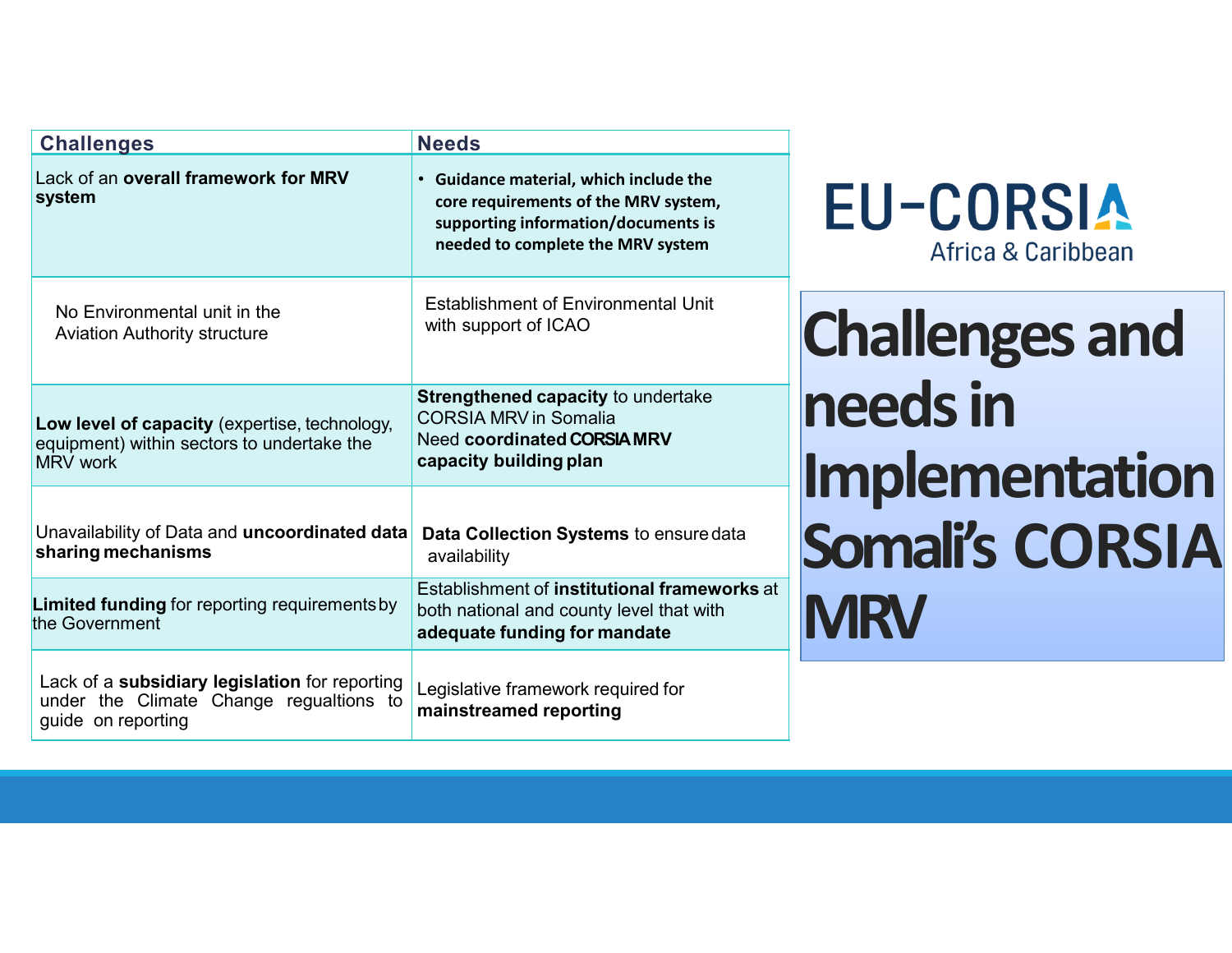| <b>Challenges</b>                                                                                               | <b>Needs</b>                                                                                                                                               |                                        |  |
|-----------------------------------------------------------------------------------------------------------------|------------------------------------------------------------------------------------------------------------------------------------------------------------|----------------------------------------|--|
| Lack of an overall framework for MRV<br>system                                                                  | • Guidance material, which include the<br>core requirements of the MRV system,<br>supporting information/documents is<br>needed to complete the MRV system | <b>EU-CORSIA</b><br>Africa & Caribbean |  |
| No Environmental unit in the<br><b>Aviation Authority structure</b>                                             | Establishment of Environmental Unit<br>with support of ICAO                                                                                                | <b>Challenges and</b>                  |  |
| Low level of capacity (expertise, technology,<br>equipment) within sectors to undertake the<br>MRV work         | Strengthened capacity to undertake<br><b>CORSIA MRV in Somalia</b><br><b>Need coordinated CORSIA MRV</b><br>capacity building plan                         | needs in<br>Implementation             |  |
| Unavailability of Data and uncoordinated data<br>sharing mechanisms                                             | Data Collection Systems to ensure data<br>availability                                                                                                     | Somali's CORSIA                        |  |
| Limited funding for reporting requirements by<br>the Government                                                 | Establishment of institutional frameworks at<br>both national and county level that with<br>adequate funding for mandate                                   | <b>MRV</b>                             |  |
| Lack of a subsidiary legislation for reporting<br>under the Climate Change regualtions to<br>guide on reporting | Legislative framework required for<br>mainstreamed reporting                                                                                               |                                        |  |